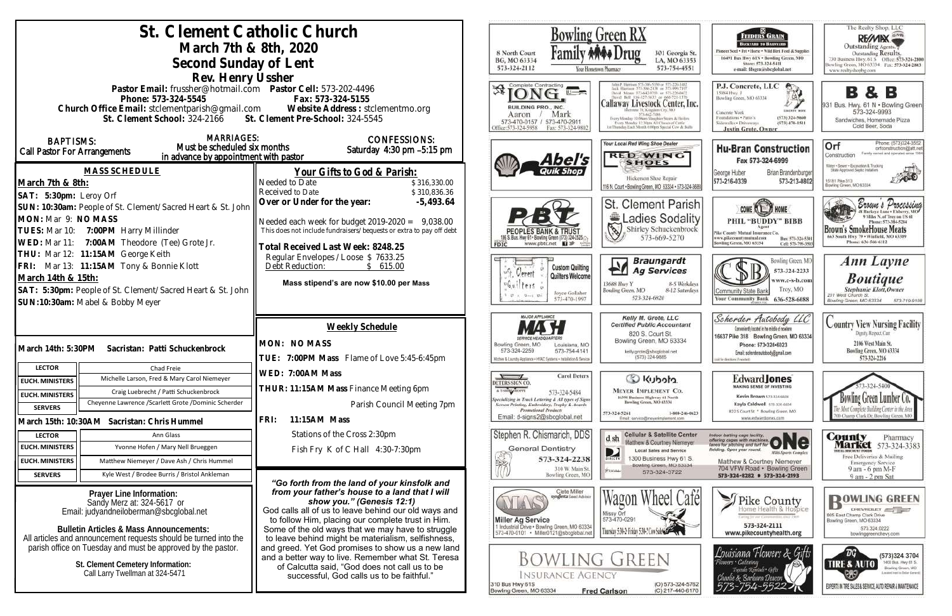| St. Clement Catholic Church                                                                                                                       |                                                                       |                                                                                                           | Bowling Green RX                                                                                    |                                                                                                |
|---------------------------------------------------------------------------------------------------------------------------------------------------|-----------------------------------------------------------------------|-----------------------------------------------------------------------------------------------------------|-----------------------------------------------------------------------------------------------------|------------------------------------------------------------------------------------------------|
|                                                                                                                                                   | March 7th & 8th, 2020                                                 |                                                                                                           | 8 North Court                                                                                       | 301 Georgia St.                                                                                |
| Second Sunday of Lent                                                                                                                             |                                                                       |                                                                                                           | BG, MO 63334<br>LA, MO 63353<br>573-324-2112<br>573-754-4551                                        |                                                                                                |
| Rev. Henry Ussher                                                                                                                                 |                                                                       |                                                                                                           |                                                                                                     | Your Hostetown Pharmacy                                                                        |
|                                                                                                                                                   | Pastor Email: frussher@hotmail.com    Pastor Cell: 573-202-4496       |                                                                                                           | Complete Contracting                                                                                |                                                                                                |
| Phone: 573-324-5545                                                                                                                               |                                                                       | Fax: 573-324-5155                                                                                         |                                                                                                     | Callaway Livestock Center, Inc.                                                                |
| Church Office Email: stclementparish@gmail.com Website Address : stclementmo.org<br>St. Clement School: 324-2166 St. Clement Pre-School: 324-5545 |                                                                       |                                                                                                           | BUILDING PRO., INC.<br>Mark<br>Aaron                                                                | Every Monday 10:00am Stagpher Steers & Heiler                                                  |
|                                                                                                                                                   |                                                                       |                                                                                                           | 573-470-0157 / 573-470-2911<br>ffice:573-324-5958<br>Fax: 573-324-9802                              | Every Monday 12:30pts All Classes of Cattle<br>ist Thursday Each Month 6:00pm Special Cow & B. |
| <b>MARRIAGES:</b><br><b>BAPTISMS:</b>                                                                                                             |                                                                       | <b>CONFESSIONS:</b>                                                                                       |                                                                                                     | Your Local Red Wing Shoe Dealer                                                                |
| <b>Call Pastor For Arrangements</b>                                                                                                               | Must be scheduled six months<br>in advance by appointment with pastor | Saturday 4:30 pm -5:15 pm                                                                                 |                                                                                                     | <b>RED WING</b>                                                                                |
|                                                                                                                                                   | MASS SCHEDULE                                                         |                                                                                                           | Abel's                                                                                              | <b>SHOES</b>                                                                                   |
| March 7th & 8th:                                                                                                                                  |                                                                       | Your Gifts to God & Parish:<br>Needed to Date<br>\$316,330.00                                             |                                                                                                     | Hickerson Shoe Repair                                                                          |
| SAT: 5:30pm: Leroy Orf                                                                                                                            |                                                                       | Received to Date<br>\$310,836.36                                                                          |                                                                                                     | 116 N. Court . Bowling Green, MO 63334 - 573-324-368                                           |
| SUN: 10:30am: People of St. Clement/Sacred Heart & St. John                                                                                       |                                                                       | Over or Under for the year:<br>$-5,493.64$                                                                |                                                                                                     | <b>St. Clement Parish</b>                                                                      |
| MON: Mar 9: NO MASS                                                                                                                               |                                                                       | Needed each week for budget $2019-2020 = 9,038.00$                                                        |                                                                                                     | Ladies Sodality                                                                                |
| TUES: Mar 10: 7:00PM Harry Millinder                                                                                                              |                                                                       | This does not include fundraisers/bequests or extra to pay off debt                                       |                                                                                                     | $\mathscr{E}$<br>Shirley Schuckenbrock<br>573-669-5270                                         |
| WED: Mar 11: 7:00AM Theodore (Tee) Grote Jr.                                                                                                      |                                                                       | Fotal Received Last Week: 8248.25                                                                         | www.pbtc.net <b>H</b>                                                                               |                                                                                                |
| THU: Mar 12: 11:15AM George Keith                                                                                                                 |                                                                       | Regular Envelopes / Loose \$ 7633.25                                                                      |                                                                                                     | <b>Braungardt</b>                                                                              |
| FRI: Mar 13: 11:15AM Tony & Bonnie Klott                                                                                                          |                                                                       | Debt Reduction:<br>\$615.00                                                                               | <b>Custom Quilting</b><br>Cerert<br>Quilters Welcome                                                | <b>Ag Services</b>                                                                             |
| March 14th & 15th:                                                                                                                                |                                                                       | Mass stipend's are now \$10.00 per Mass                                                                   | $6u$ <sup>1</sup> ters                                                                              | 8-5 Weekdays<br>13688 Hwy Y                                                                    |
| SAT: 5:30pm: People of St. Clement/Sacred Heart & St. John<br>SUN:10:30am: Mabel & Bobby Meyer                                                    |                                                                       |                                                                                                           | Joyce Gollaher<br>573-470-1997                                                                      | Bowling Green, MO<br>8-12 Saturdays<br>573-324-6820                                            |
|                                                                                                                                                   |                                                                       |                                                                                                           | <b>MAJOR APPLIANCE</b>                                                                              |                                                                                                |
|                                                                                                                                                   |                                                                       | Weekly Schedule                                                                                           |                                                                                                     | Kelly M. Grote, LLC<br><b>Certified Public Accountant</b>                                      |
|                                                                                                                                                   |                                                                       | MON: NO MASS                                                                                              | Bowling Green, MO<br>Louisiana, MO                                                                  | 820 S. Court St.<br>Bowling Green, MO 63334                                                    |
|                                                                                                                                                   | March 14th: 5:30PM Sacristan: Patti Schuckenbrock                     | TUE: 7:00PM Mass Flame of Love 5:45-6:45pm                                                                | 573-324-2259<br>573-754-4141<br>Kitchen & Laundry Appliance . HVAC Systems . Installation & Service | kelly.grote@sbcglobal.net<br>(573) 324-9885                                                    |
| <b>LECTOR</b>                                                                                                                                     | Chad Freie                                                            |                                                                                                           |                                                                                                     |                                                                                                |
| <b>EUCH. MINISTERS</b>                                                                                                                            | Michelle Larson, Fred & Mary Carol Niemeyer                           | WED: 7:00AM Mass                                                                                          | <b>Carol Deters</b><br>DETERS SIGN CO.                                                              | C Kubota                                                                                       |
| <b>EUCH. MINISTERS</b>                                                                                                                            | Craig Luebrecht / Patti Schuckenbrock                                 | THUR: 11:15AM Mass Finance Meeting 6pm                                                                    | A T-SBIRT SHOPPE<br>573-324-5484<br>pecializing in Truck Lettering & All types of Signs             | <b>MEYER IMPLEMENT CO.</b><br>16398 Business Highway 61 North                                  |
| <b>SERVERS</b>                                                                                                                                    | Cheyenne Lawrence /Scarlett Grote /Dominic Scherder                   | Parish Council Meeting 7pm                                                                                | Screen Printing, Embroidery, Trophy & Awards<br><b>Promotional Products</b>                         | Bowling Green, MO 63334<br>573-324-5261<br>1-800-246-0623                                      |
|                                                                                                                                                   | March 15th: 10:30AM Sacristan: Chris Hummel                           | FRI:<br>11:15AM Mass                                                                                      | Email: d-signs2@sbcglobal.net                                                                       | Email: service@meyerimplement.com                                                              |
| <b>LECTOR</b>                                                                                                                                     | Ann Glass                                                             | Stations of the Cross 2:30pm                                                                              | Stephen R. Chismarich, DDS                                                                          | <b>Cellular &amp; Satellite Center</b><br>d sh                                                 |
| <b>EUCH. MINISTERS</b>                                                                                                                            | Yvonne Hofen / Mary Nell Brueggen                                     | Fish Fry K of C Hall 4:30-7:30pm                                                                          | <b>General Dentistry</b>                                                                            | Matthew & Courtney Niemeyer<br><b>Local Sales and Service</b><br>D                             |
| <b>EUCH. MINISTERS</b>                                                                                                                            | Matthew Niemeyer / Dave Ash / Chris Hummel                            |                                                                                                           | 573-324-2238<br>310 W. Main St.                                                                     | 1300 Business Hwy 61 S.<br>DIRECTY<br>Bowling Green, MO 63334                                  |
| <b>SERVERS</b>                                                                                                                                    | Kyle West / Brodee Burris / Bristol Ankleman                          |                                                                                                           | Bowling Green, MO                                                                                   | RUIGNE<br>573-324-3722                                                                         |
|                                                                                                                                                   | Prayer Line Information:                                              | "Go forth from the land of your kinsfolk and<br>from your father's house to a land that I will            | Clete Miller                                                                                        |                                                                                                |
| Sandy Merz at: 324-5617 or                                                                                                                        |                                                                       | show you." (Genesis 12:1)                                                                                 | syngenta Seed Advisor                                                                               | Café                                                                                           |
| Email: judyandneiloberman@sbcglobal.net                                                                                                           |                                                                       | God calls all of us to leave behind our old ways and<br>to follow Him, placing our complete trust in Him. | <b>Miller Ag Service</b>                                                                            | Missy Orl<br>573-470-0291                                                                      |
| <b>Bulletin Articles &amp; Mass Announcements:</b>                                                                                                |                                                                       | Some of the old ways that we may have to struggle                                                         | 1 Industrial Drive . Bowling Green, MO 63334<br>573-470-0101 · Miller0121@sbcglobal.net             | Thursday 5:31-2: Friday 5:31-7 Cow Sales                                                       |
| All articles and announcement requests should be turned into the<br>parish office on Tuesday and must be approved by the pastor.                  |                                                                       | to leave behind might be materialism, selfishness,<br>and greed. Yet God promises to show us a new land   |                                                                                                     |                                                                                                |
|                                                                                                                                                   |                                                                       | and a better way to live. Remember what St. Teresa                                                        |                                                                                                     | <b>BOWLING GREEN</b>                                                                           |
| St. Clement Cemetery Information:<br>Call Larry Twellman at 324-5471                                                                              |                                                                       | of Calcutta said, "God does not call us to be                                                             | <b>INSURANCE AGENCY</b>                                                                             |                                                                                                |
|                                                                                                                                                   |                                                                       | successful, God calls us to be faithful."                                                                 | 310 Bus Hwy 61S                                                                                     | (O) 573-324-5762                                                                               |
|                                                                                                                                                   |                                                                       |                                                                                                           | Bowling Green, MO 63334                                                                             | <b>Fred Carlson</b><br>(C) 217-440-6170                                                        |